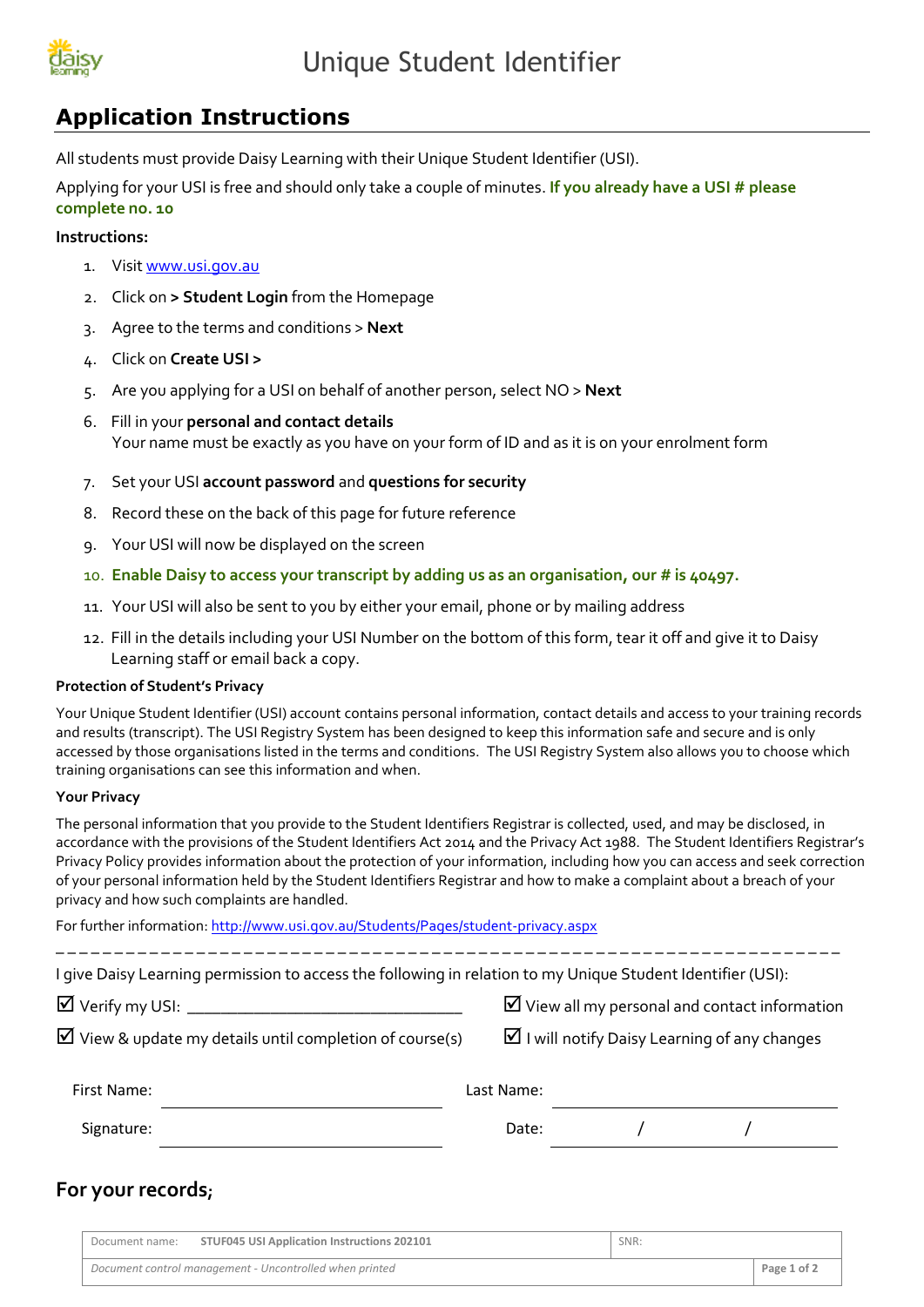

## **Application Instructions**

All students must provide Daisy Learning with their Unique Student Identifier (USI).

Applying for your USI is free and should only take a couple of minutes. **If you already have a USI # please complete no. 10**

#### **Instructions:**

- 1. Visi[t www.usi.gov.au](http://www.usi.gov.au/)
- 2. Click on **> Student Login** from the Homepage
- 3. Agree to the terms and conditions > **Next**
- 4. Click on **Create USI >**
- 5. Are you applying for a USI on behalf of another person, select NO > **Next**
- 6. Fill in your **personal and contact details** Your name must be exactly as you have on your form of ID and as it is on your enrolment form
- 7. Set your USI **account password** and **questions for security**
- 8. Record these on the back of this page for future reference
- 9. Your USI will now be displayed on the screen
- 10. **Enable Daisy to access your transcript by adding us as an organisation, our # is 40497.**
- 11. Your USI will also be sent to you by either your email, phone or by mailing address
- 12. Fill in the details including your USI Number on the bottom of this form, tear it off and give it to Daisy Learning staff or email back a copy.

#### **Protection of Student's Privacy**

Your Unique Student Identifier (USI) account contains personal information, contact details and access to your training records and results (transcript). The USI Registry System has been designed to keep this information safe and secure and is only accessed by those organisations listed in the terms and conditions. The USI Registry System also allows you to choose which training organisations can see this information and when.

#### **Your Privacy**

The personal information that you provide to the Student Identifiers Registrar is collected, used, and may be disclosed, in accordance with the provisions of the Student Identifiers Act 2014 and the Privacy Act 1988. The Student Identifiers Registrar's Privacy Policy provides information about the protection of your information, including how you can access and seek correction of your personal information held by the Student Identifiers Registrar and how to make a complaint about a breach of your privacy and how such complaints are handled.

For further information[: http://www.usi.gov.au/Students/Pages/student-privacy.aspx](http://www.usi.gov.au/Students/Pages/student-privacy.aspx)

\_ \_ \_ \_ \_ \_ \_ \_ \_ \_ \_ \_ \_ \_ \_ \_ \_ \_ \_ \_ \_ \_ \_ \_ \_ \_ \_ \_ \_ \_ \_ \_ \_ \_ \_ \_ \_ \_ \_ \_ \_ \_ \_ \_ \_ \_ \_ \_ \_ \_ \_ \_ \_ \_ \_ \_ \_ \_ \_ \_ \_ \_ \_ \_ \_ \_ \_ I give Daisy Learning permission to access the following in relation to my Unique Student Identifier (USI):

Verify my USI: \_\_\_\_\_\_\_\_\_\_\_\_\_\_\_\_\_\_\_\_\_\_\_\_\_\_\_\_\_\_\_\_\_ View all my personal and contact information

|  |  |  |  | $\boxtimes$ View & update my details until completion of course(s) |  |  |
|--|--|--|--|--------------------------------------------------------------------|--|--|
|--|--|--|--|--------------------------------------------------------------------|--|--|

 $\boxtimes$  I will notify Daisy Learning of any changes

| First Name: | Last Name: |  |  |
|-------------|------------|--|--|
| Signature:  | Date:      |  |  |

### **For your records;**

| Document name:                                          | STUF045 USI Application Instructions 202101 | SNR: |             |
|---------------------------------------------------------|---------------------------------------------|------|-------------|
| Document control management - Uncontrolled when printed |                                             |      | Page 1 of 2 |